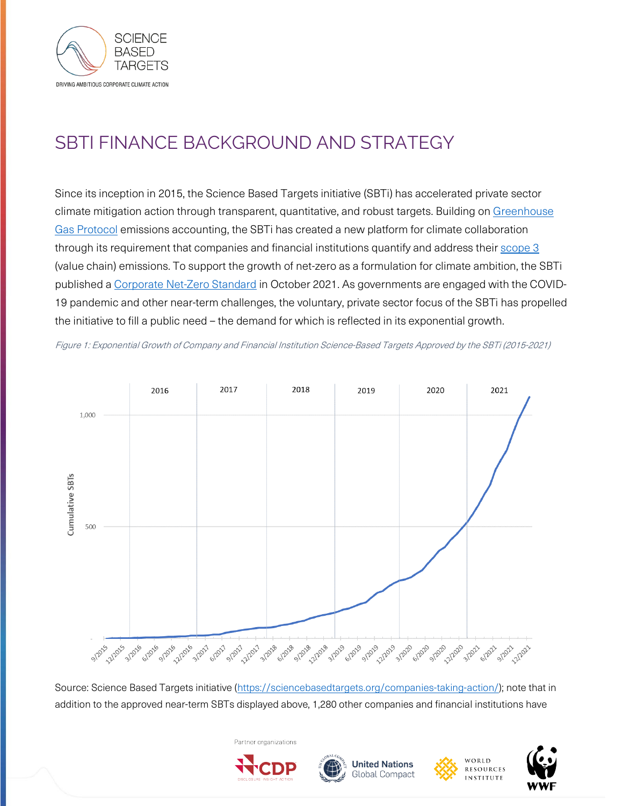

# SBTI FINANCE BACKGROUND AND STRATEGY

Since its inception in 2015, the Science Based Targets initiative (SBTi) has accelerated private sector climate mitigation action through transparent, quantitative, and robust targets. Building on [Greenhouse](https://ghgprotocol.org/)  [Gas Protocol](https://ghgprotocol.org/) emissions accounting, the SBTi has created a new platform for climate collaboration through its requirement that companies and financial institutions quantify and address their [scope 3](https://ghgprotocol.org/standards/scope-3-standard) (value chain) emissions. To support the growth of net-zero as a formulation for climate ambition, the SBTi published a [Corporate Net-Zero Standard](https://sciencebasedtargets.org/resources/files/Net-Zero-Standard.pdf) in October 2021. As governments are engaged with the COVID-19 pandemic and other near-term challenges, the voluntary, private sector focus of the SBTi has propelled the initiative to fill a public need – the demand for which is reflected in its exponential growth.

Figure 1: Exponential Growth of Company and Financial Institution Science-Based Targets Approved by the SBTi (2015-2021)



Source: Science Based Targets initiative [\(https://sciencebasedtargets.org/companies-taking-action/\)](https://sciencebasedtargets.org/companies-taking-action/); note that in addition to the approved near-term SBTs displayed above, 1,280 other companies and financial institutions have

**United Nations** 

**Global Compact** 



WORLD

**RESOURCES** 

**INSTITUTE** 



Partner organizations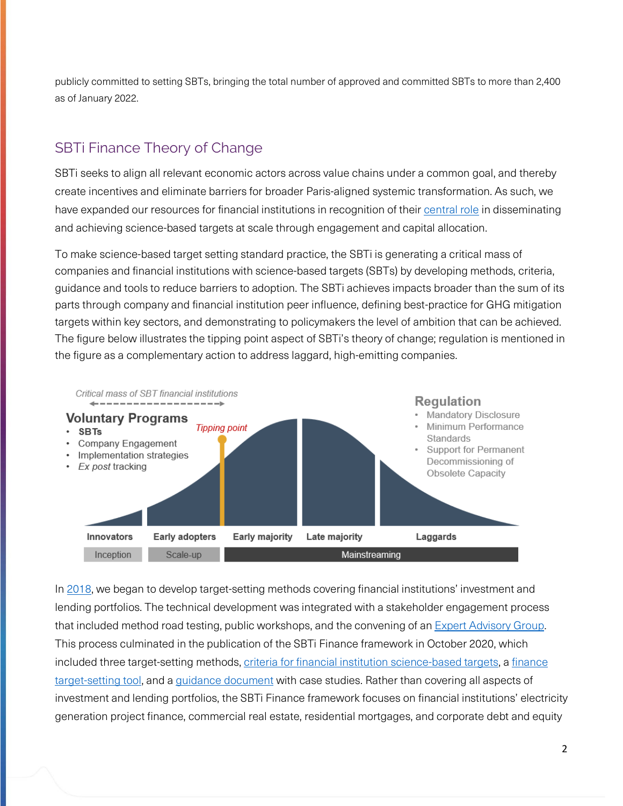publicly committed to setting SBTs, bringing the total number of approved and committed SBTs to more than 2,400 as of January 2022.

### SBTi Finance Theory of Change

SBTi seeks to align all relevant economic actors across value chains under a common goal, and thereby create incentives and eliminate barriers for broader Paris-aligned systemic transformation. As such, we have expanded our resources for financial institutions in recognition of thei[r central role](https://sciencebasedtargets.org/wp-content/uploads/2020/02/SBT-FI-ToC-2-27-20-final.pdf) in disseminating and achieving science-based targets at scale through engagement and capital allocation.

To make science-based target setting standard practice, the SBTi is generating a critical mass of companies and financial institutions with science-based targets (SBTs) by developing methods, criteria, guidance and tools to reduce barriers to adoption. The SBTi achieves impacts broader than the sum of its parts through company and financial institution peer influence, defining best-practice for GHG mitigation targets within key sectors, and demonstrating to policymakers the level of ambition that can be achieved. The figure below illustrates the tipping point aspect of SBTi's theory of change; regulation is mentioned in the figure as a complementary action to address laggard, high-emitting companies.



I[n 2018,](https://sciencebasedtargets.org/wp-content/uploads/2019/03/SBT-FI-EAG-9.20-summary_SAG10.9.18.pdf) we began to develop target-setting methods covering financial institutions' investment and lending portfolios. The technical development was integrated with a stakeholder engagement process that included method road testing, public workshops, and the convening of an **Expert Advisory Group**. This process culminated in the publication of the SBTi Finance framework in October 2020, which included three target-setting methods[, criteria for financial institution science-based targets,](https://sciencebasedtargets.org/resources/files/SBTi-Criteria-and-Recommendations-for-Financial-Institutions.pdf) a [finance](https://sciencebasedtargets.org/finance-tool)  [target-setting tool,](https://sciencebasedtargets.org/finance-tool) and [a guidance document](https://sciencebasedtargets.org/resources/files/Financial-Sector-Science-Based-Targets-Guidance-Pilot-Version.pdf) with case studies. Rather than covering all aspects of investment and lending portfolios, the SBTi Finance framework focuses on financial institutions' electricity generation project finance, commercial real estate, residential mortgages, and corporate debt and equity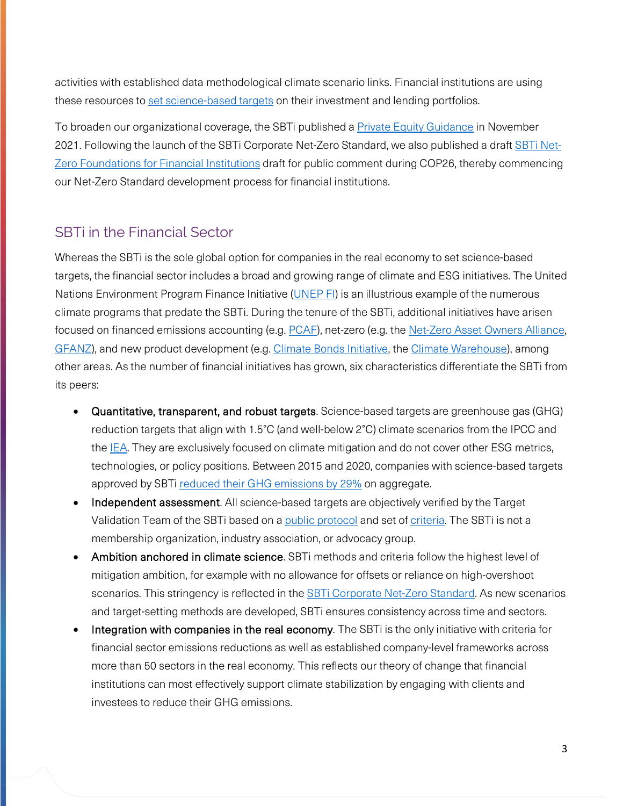activities with established data methodological climate scenario links. Financial institutions are using these resources t[o set science-based targets](https://sciencebasedtargets.org/blog/validation-of-the-first-financial-institution-science-based-targets-a-turning-point-for-the-sector) on their investment and lending portfolios.

To broaden our organizational coverage, the SBTi published a [Private Equity Guidance](https://sciencebasedtargets.org/resources/files/SBTi-Private-Equity-Sector-Guidance.pdf) in November 2021. Following the launch of the SBTi Corporate Net-Zero Standard, we also published a draft [SBTi Net-](https://sciencebasedtargets.org/net-zero-for-financial-institutions)[Zero Foundations for Financial Institutions](https://sciencebasedtargets.org/net-zero-for-financial-institutions) draft for public comment during COP26, thereby commencing our Net-Zero Standard development process for financial institutions.

#### SBTi in the Financial Sector

Whereas the SBTi is the sole global option for companies in the real economy to set science-based targets, the financial sector includes a broad and growing range of climate and ESG initiatives. The United Nations Environment Program Finance Initiative [\(UNEP FI\)](https://www.unepfi.org/) is an illustrious example of the numerous climate programs that predate the SBTi. During the tenure of the SBTi, additional initiatives have arisen focused on financed emissions accounting (e.g[. PCAF\)](https://carbonaccountingfinancials.com/), net-zero (e.g. th[e Net-Zero Asset Owners Alliance,](https://www.unepfi.org/net-zero-alliance/) [GFANZ\)](https://www.gfanzero.com/), and new product development (e.g. [Climate Bonds Initiative,](https://www.climatebonds.net/) the [Climate Warehouse\)](https://www.worldbank.org/en/programs/climate-warehouse), among other areas. As the number of financial initiatives has grown, six characteristics differentiate the SBTi from its peers:

- Quantitative, transparent, and robust targets. Science-based targets are greenhouse gas (GHG) reduction targets that align with 1.5°C (and well-below 2°C) climate scenarios from the IPCC and the [IEA.](https://www.iea.org/reports/net-zero-by-2050) They are exclusively focused on climate mitigation and do not cover other ESG metrics, technologies, or policy positions. Between 2015 and 2020, companies with science-based targets approved by SBTi [reduced their GHG emissions by 29%](https://sciencebasedtargets.org/sbti-progress-report-2020) on aggregate.
- Independent assessment. All science-based targets are objectively verified by the Target Validation Team of the SBTi based on a public [protocol](https://sciencebasedtargets.org/resources/files/Target-Validation-Protocol.pdf) and set of [criteria.](https://sciencebasedtargets.org/resources/files/SBTi-criteria.pdf) The SBTi is not a membership organization, industry association, or advocacy group.
- Ambition anchored in climate science. SBTi methods and criteria follow the highest level of mitigation ambition, for example with no allowance for offsets or reliance on high-overshoot scenarios. This stringency is reflected in the **SBTi Corporate Net-Zero Standard**. As new scenarios and target-setting methods are developed, SBTi ensures consistency across time and sectors.
- Integration with companies in the real economy. The SBTi is the only initiative with criteria for financial sector emissions reductions as well as established company-level frameworks across more than 50 sectors in the real economy. This reflects our theory of change that financial institutions can most effectively support climate stabilization by engaging with clients and investees to reduce their GHG emissions.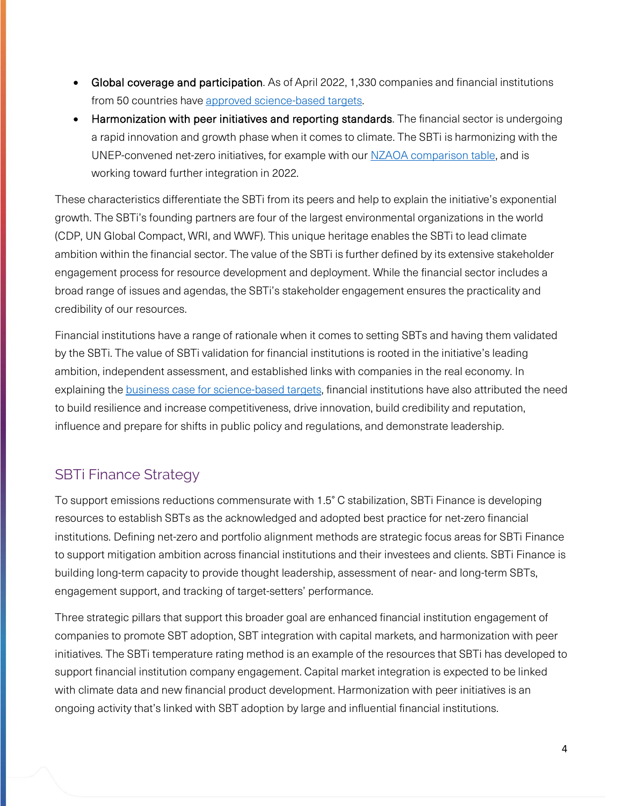- Global coverage and participation. As of April 2022, 1,330 companies and financial institutions from 50 countries have [approved science-based targets.](https://sciencebasedtargets.org/companies-taking-action/)
- Harmonization with peer initiatives and reporting standards. The financial sector is undergoing a rapid innovation and growth phase when it comes to climate. The SBTi is harmonizing with the UNEP-convened net-zero initiatives, for example with our [NZAOA comparison table,](https://sciencebasedtargets.org/resources/files/AOA-SBTi-comparison-table.pdf) and is working toward further integration in 2022.

These characteristics differentiate the SBTi from its peers and help to explain the initiative's exponential growth. The SBTi's founding partners are four of the largest environmental organizations in the world (CDP, UN Global Compact, WRI, and WWF). This unique heritage enables the SBTi to lead climate ambition within the financial sector. The value of the SBTi is further defined by its extensive stakeholder engagement process for resource development and deployment. While the financial sector includes a broad range of issues and agendas, the SBTi's stakeholder engagement ensures the practicality and credibility of our resources.

Financial institutions have a range of rationale when it comes to setting SBTs and having them validated by the SBTi. The value of SBTi validation for financial institutions is rooted in the initiative's leading ambition, independent assessment, and established links with companies in the real economy. In explaining th[e business case for science-based targets,](https://sciencebasedtargets.org/resources/files/Financial-Sector-Science-Based-Targets-Guidance-Pilot-Version.pdf) financial institutions have also attributed the need to build resilience and increase competitiveness, drive innovation, build credibility and reputation, influence and prepare for shifts in public policy and regulations, and demonstrate leadership.

# SBTi Finance Strategy

To support emissions reductions commensurate with 1.5° C stabilization, SBTi Finance is developing resources to establish SBTs as the acknowledged and adopted best practice for net-zero financial institutions. Defining net-zero and portfolio alignment methods are strategic focus areas for SBTi Finance to support mitigation ambition across financial institutions and their investees and clients. SBTi Finance is building long-term capacity to provide thought leadership, assessment of near- and long-term SBTs, engagement support, and tracking of target-setters' performance.

Three strategic pillars that support this broader goal are enhanced financial institution engagement of companies to promote SBT adoption, SBT integration with capital markets, and harmonization with peer initiatives. The SBTi temperature rating method is an example of the resources that SBTi has developed to support financial institution company engagement. Capital market integration is expected to be linked with climate data and new financial product development. Harmonization with peer initiatives is an ongoing activity that's linked with SBT adoption by large and influential financial institutions.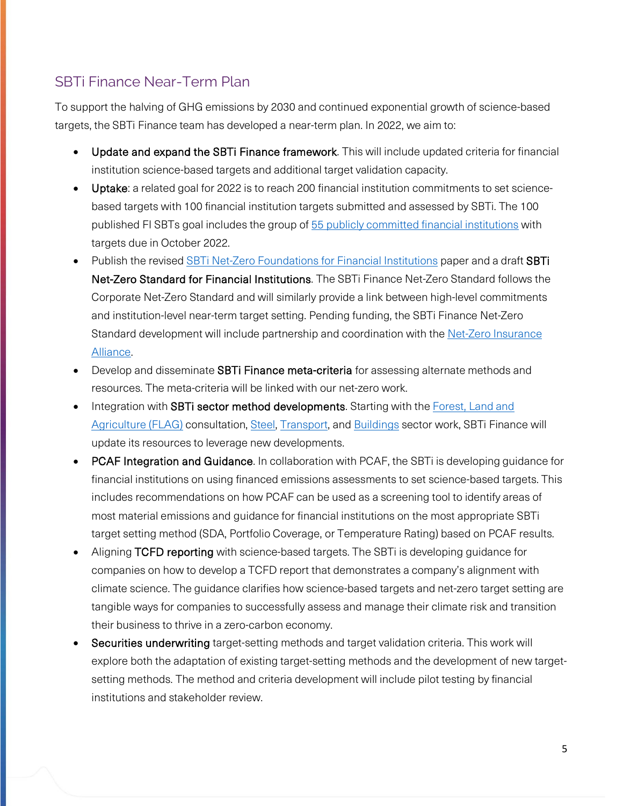## SBTi Finance Near-Term Plan

To support the halving of GHG emissions by 2030 and continued exponential growth of science-based targets, the SBTi Finance team has developed a near-term plan. In 2022, we aim to:

- Update and expand the SBTi Finance framework. This will include updated criteria for financial institution science-based targets and additional target validation capacity.
- Uptake: a related goal for 2022 is to reach 200 financial institution commitments to set sciencebased targets with 100 financial institution targets submitted and assessed by SBTi. The 100 published FI SBTs goal includes the group of 55 publicly committed [financial institutions](https://docs.google.com/spreadsheets/d/1UL4y5MagRs5RiLdGeQyTuFPK6vDoJo00a_vtnLtYt4A/edit#gid=0) with targets due in October 2022.
- Publish the revised **SBTi Net-Zero Foundations for Financial Institutions** paper and a draft **SBTi** Net-Zero Standard for Financial Institutions. The SBTi Finance Net-Zero Standard follows the Corporate Net-Zero Standard and will similarly provide a link between high-level commitments and institution-level near-term target setting. Pending funding, the SBTi Finance Net-Zero Standard development will include partnership and coordination with the Net-Zero Insurance [Alliance.](https://www.unepfi.org/net-zero-insurance/)
- Develop and disseminate **SBTi Finance meta-criteria** for assessing alternate methods and resources. The meta-criteria will be linked with our net-zero work.
- Integration with **SBTi sector method developments**. Starting with the Forest, Land and [Agriculture \(FLAG\)](https://sciencebasedtargets.org/sectors/forest-land-and-agriculture) consultation, [Steel,](https://sciencebasedtargets.org/sectors/steel) [Transport,](https://sciencebasedtargets.org/sectors/transport) and [Buildings](https://sciencebasedtargets.org/sectors/buildings) sector work, SBTi Finance will update its resources to leverage new developments.
- PCAF Integration and Guidance. In collaboration with PCAF, the SBTi is developing guidance for financial institutions on using financed emissions assessments to set science-based targets. This includes recommendations on how PCAF can be used as a screening tool to identify areas of most material emissions and guidance for financial institutions on the most appropriate SBTi target setting method (SDA, Portfolio Coverage, or Temperature Rating) based on PCAF results.
- Aligning TCFD reporting with science-based targets. The SBTi is developing guidance for companies on how to develop a TCFD report that demonstrates a company's alignment with climate science. The guidance clarifies how science-based targets and net-zero target setting are tangible ways for companies to successfully assess and manage their climate risk and transition their business to thrive in a zero-carbon economy.
- Securities underwriting target-setting methods and target validation criteria. This work will explore both the adaptation of existing target-setting methods and the development of new targetsetting methods. The method and criteria development will include pilot testing by financial institutions and stakeholder review.